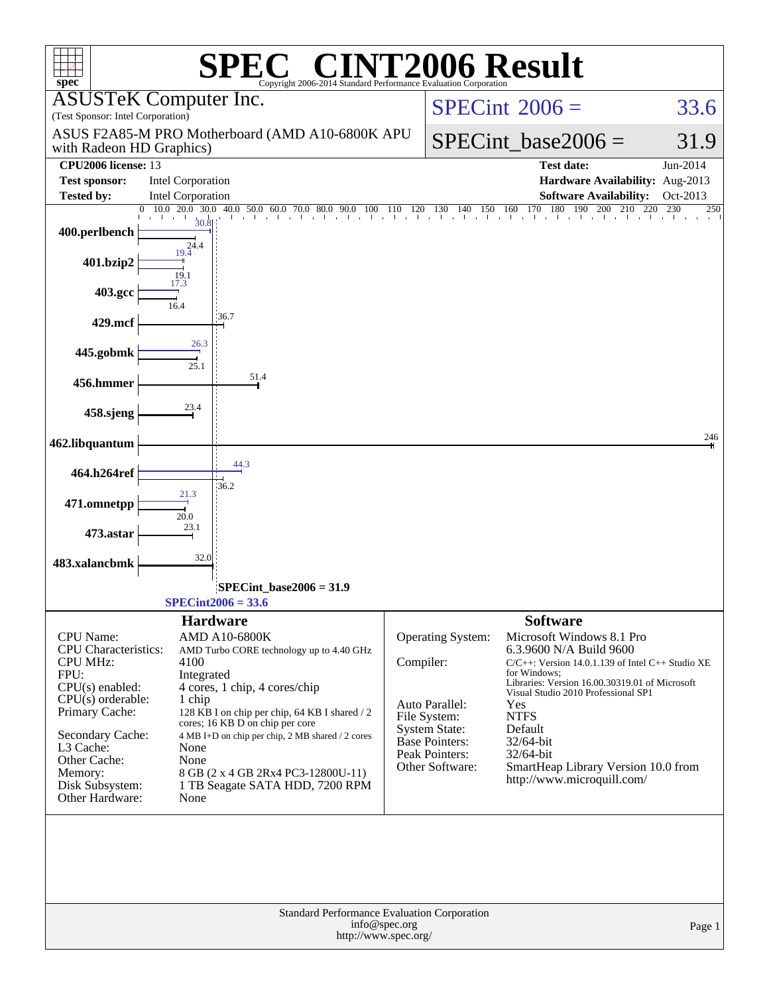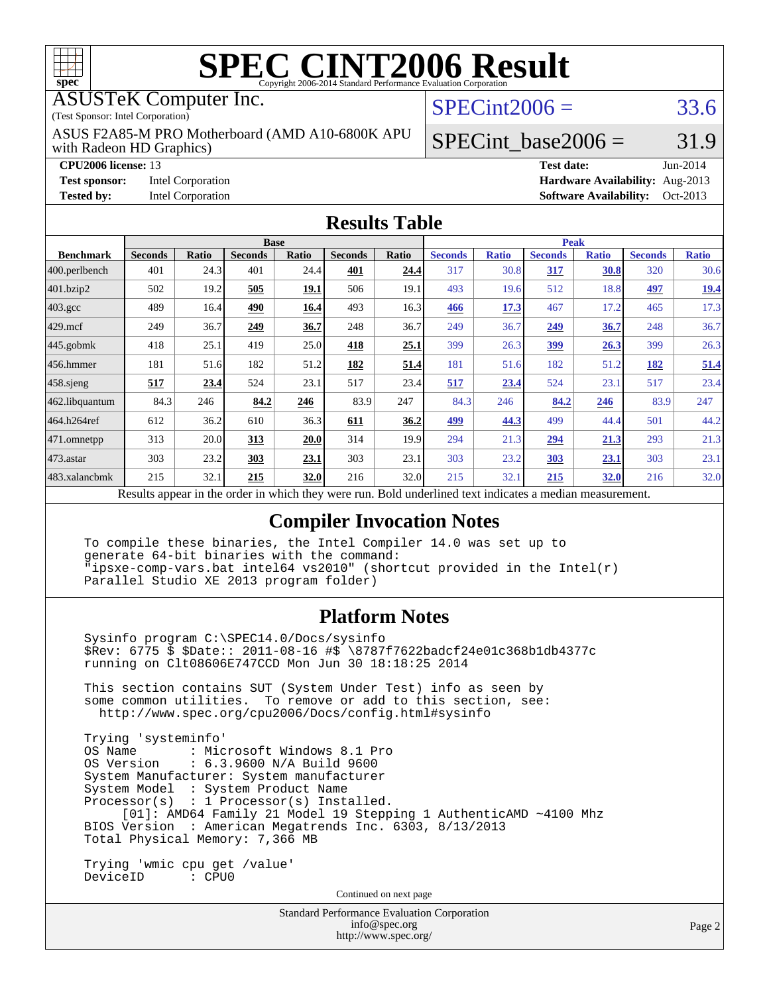

# **[SPEC CINT2006 Result](http://www.spec.org/auto/cpu2006/Docs/result-fields.html#SPECCINT2006Result)**

#### ASUSTeK Computer Inc.

(Test Sponsor: Intel Corporation)

with Radeon HD Graphics) ASUS F2A85-M PRO Motherboard (AMD A10-6800K APU  $SPECint2006 = 33.6$  $SPECint2006 = 33.6$ 

**[Test sponsor:](http://www.spec.org/auto/cpu2006/Docs/result-fields.html#Testsponsor)** Intel Corporation **[Hardware Availability:](http://www.spec.org/auto/cpu2006/Docs/result-fields.html#HardwareAvailability)** Aug-2013

**[Tested by:](http://www.spec.org/auto/cpu2006/Docs/result-fields.html#Testedby)** Intel Corporation **[Software Availability:](http://www.spec.org/auto/cpu2006/Docs/result-fields.html#SoftwareAvailability)** Oct-2013

SPECint base2006 =  $31.9$ 

**[CPU2006 license:](http://www.spec.org/auto/cpu2006/Docs/result-fields.html#CPU2006license)** 13 **[Test date:](http://www.spec.org/auto/cpu2006/Docs/result-fields.html#Testdate)** Jun-2014

### **[Results Table](http://www.spec.org/auto/cpu2006/Docs/result-fields.html#ResultsTable)**

| <b>Base</b>    |       |                |                      | <b>Peak</b>    |                      |                |                                                                               |                |                                      |                                                   |              |
|----------------|-------|----------------|----------------------|----------------|----------------------|----------------|-------------------------------------------------------------------------------|----------------|--------------------------------------|---------------------------------------------------|--------------|
| <b>Seconds</b> | Ratio | <b>Seconds</b> | <b>Ratio</b>         | <b>Seconds</b> | Ratio                | <b>Seconds</b> | <b>Ratio</b>                                                                  | <b>Seconds</b> | <b>Ratio</b>                         | <b>Seconds</b>                                    | <b>Ratio</b> |
| 401            | 24.3  | 401            |                      | 401            | 24.4                 | 317            |                                                                               | 317            | 30.8                                 | 320                                               | 30.6         |
| 502            | 19.2  | 505            | 19.1                 | 506            | 19.1                 | 493            |                                                                               | 512            | 18.8                                 | 497                                               | <u>19.4</u>  |
| 489            |       | 490            | 16.4                 | 493            | 16.3                 | 466            | 17.3                                                                          | 467            | 17.2                                 | 465                                               | 17.3         |
| 249            | 36.7  | 249            | 36.7                 | 248            | 36.7                 | 249            | 36.7                                                                          | 249            | 36.7                                 | 248                                               | 36.7         |
| 418            | 25.1  | 419            |                      | 418            | 25.1                 | 399            |                                                                               | <u>399</u>     | 26.3                                 | 399                                               | 26.3         |
| 181            |       | 182            | 51.2                 | 182            | 51.4                 | 181            |                                                                               | 182            | 51.2                                 | 182                                               | 51.4         |
| 517            | 23.4  | 524            | 23.1                 | 517            | 23.4                 | 517            | 23.4                                                                          | 524            | 23.1                                 | 517                                               | 23.4         |
| 84.3           | 246   | 84.2           | 246                  | 83.9           | 247                  | 84.3           | 246                                                                           | 84.2           | 246                                  | 83.9                                              | 247          |
| 612            | 36.2  | 610            | 36.3                 | 611            | 36.2                 | 499            | 44.3                                                                          | 499            | 44.4                                 | 501                                               | 44.2         |
| 313            |       | 313            | 20.0                 | 314            |                      | 294            | 21.3                                                                          | 294            | 21.3                                 | 293                                               | 21.3         |
| 303            | 23.2  | 303            | 23.1                 | 303            | 23.1                 | 303            |                                                                               | 303            | <u>23.1</u>                          | 303                                               | 23.1         |
| 215            | 32.1  | 215            |                      | 216            |                      | 215            | 32.1                                                                          | 215            | 32.0                                 | 216                                               | 32.0         |
|                |       |                | 16.4<br>51.6<br>20.0 |                | 24.4<br>25.0<br>32.0 |                | 19.9<br>32.0<br>Describe encourage in the conduction withink these weeks more |                | 30.8<br>19.6<br>26.3<br>51.6<br>23.2 | Deld and called to all the total control a modian |              |

Results appear in the [order in which they were run.](http://www.spec.org/auto/cpu2006/Docs/result-fields.html#RunOrder) Bold underlined text [indicates a median measurement.](http://www.spec.org/auto/cpu2006/Docs/result-fields.html#Median)

### **[Compiler Invocation Notes](http://www.spec.org/auto/cpu2006/Docs/result-fields.html#CompilerInvocationNotes)**

 To compile these binaries, the Intel Compiler 14.0 was set up to generate 64-bit binaries with the command: "ipsxe-comp-vars.bat intel64 vs2010" (shortcut provided in the Intel(r) Parallel Studio XE 2013 program folder)

### **[Platform Notes](http://www.spec.org/auto/cpu2006/Docs/result-fields.html#PlatformNotes)**

 Sysinfo program C:\SPEC14.0/Docs/sysinfo \$Rev: 6775 \$ \$Date:: 2011-08-16 #\$ \8787f7622badcf24e01c368b1db4377c running on Clt08606E747CCD Mon Jun 30 18:18:25 2014

 This section contains SUT (System Under Test) info as seen by some common utilities. To remove or add to this section, see: <http://www.spec.org/cpu2006/Docs/config.html#sysinfo>

 Trying 'systeminfo' : Microsoft Windows 8.1 Pro OS Version : 6.3.9600 N/A Build 9600 System Manufacturer: System manufacturer System Model : System Product Name Processor(s) : 1 Processor(s) Installed. [01]: AMD64 Family 21 Model 19 Stepping 1 AuthenticAMD ~4100 Mhz BIOS Version : American Megatrends Inc. 6303, 8/13/2013 Total Physical Memory: 7,366 MB

 Trying 'wmic cpu get /value' DeviceID : CPU0

Continued on next page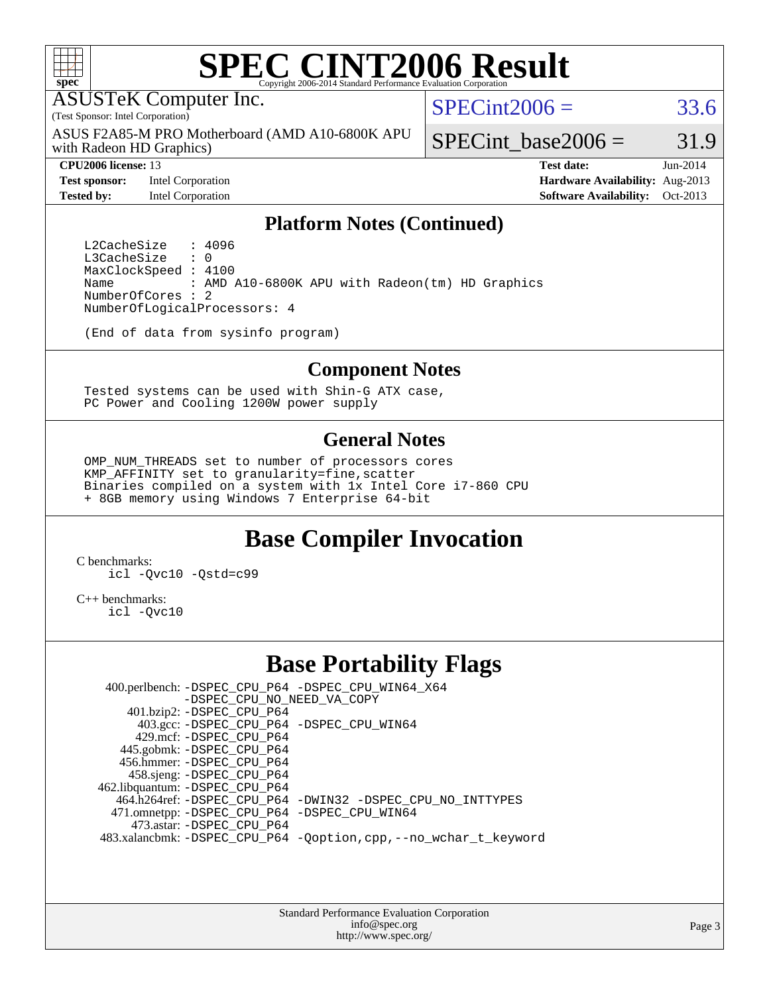

# **[SPEC CINT2006 Result](http://www.spec.org/auto/cpu2006/Docs/result-fields.html#SPECCINT2006Result)**

ASUSTeK Computer Inc.

(Test Sponsor: Intel Corporation)

with Radeon HD Graphics) ASUS F2A85-M PRO Motherboard (AMD A10-6800K APU  $SPECint2006 = 33.6$  $SPECint2006 = 33.6$ 

SPECint base2006 =  $31.9$ 

**[Test sponsor:](http://www.spec.org/auto/cpu2006/Docs/result-fields.html#Testsponsor)** Intel Corporation **[Hardware Availability:](http://www.spec.org/auto/cpu2006/Docs/result-fields.html#HardwareAvailability)** Aug-2013

**[CPU2006 license:](http://www.spec.org/auto/cpu2006/Docs/result-fields.html#CPU2006license)** 13 **[Test date:](http://www.spec.org/auto/cpu2006/Docs/result-fields.html#Testdate)** Jun-2014 **[Tested by:](http://www.spec.org/auto/cpu2006/Docs/result-fields.html#Testedby)** Intel Corporation **[Software Availability:](http://www.spec.org/auto/cpu2006/Docs/result-fields.html#SoftwareAvailability)** Oct-2013

### **[Platform Notes \(Continued\)](http://www.spec.org/auto/cpu2006/Docs/result-fields.html#PlatformNotes)**

L2CacheSize : 4096<br>L3CacheSize : 0 L3CacheSize MaxClockSpeed : 4100 Name : AMD A10-6800K APU with Radeon(tm) HD Graphics NumberOfCores : 2 NumberOfLogicalProcessors: 4

(End of data from sysinfo program)

#### **[Component Notes](http://www.spec.org/auto/cpu2006/Docs/result-fields.html#ComponentNotes)**

 Tested systems can be used with Shin-G ATX case, PC Power and Cooling 1200W power supply

#### **[General Notes](http://www.spec.org/auto/cpu2006/Docs/result-fields.html#GeneralNotes)**

 OMP\_NUM\_THREADS set to number of processors cores KMP\_AFFINITY set to granularity=fine,scatter Binaries compiled on a system with 1x Intel Core i7-860 CPU + 8GB memory using Windows 7 Enterprise 64-bit

# **[Base Compiler Invocation](http://www.spec.org/auto/cpu2006/Docs/result-fields.html#BaseCompilerInvocation)**

[C benchmarks](http://www.spec.org/auto/cpu2006/Docs/result-fields.html#Cbenchmarks): [icl -Qvc10](http://www.spec.org/cpu2006/results/res2014q3/cpu2006-20140715-30467.flags.html#user_CCbase_intel_icc_vc10_9607f3ecbcdf68042245f068e51b40c1) [-Qstd=c99](http://www.spec.org/cpu2006/results/res2014q3/cpu2006-20140715-30467.flags.html#user_CCbase_intel_compiler_c99_mode_1a3d110e3041b3ad4466830521bdad2a)

[C++ benchmarks:](http://www.spec.org/auto/cpu2006/Docs/result-fields.html#CXXbenchmarks) [icl -Qvc10](http://www.spec.org/cpu2006/results/res2014q3/cpu2006-20140715-30467.flags.html#user_CXXbase_intel_icc_vc10_9607f3ecbcdf68042245f068e51b40c1)

# **[Base Portability Flags](http://www.spec.org/auto/cpu2006/Docs/result-fields.html#BasePortabilityFlags)**

 400.perlbench: [-DSPEC\\_CPU\\_P64](http://www.spec.org/cpu2006/results/res2014q3/cpu2006-20140715-30467.flags.html#b400.perlbench_basePORTABILITY_DSPEC_CPU_P64) [-DSPEC\\_CPU\\_WIN64\\_X64](http://www.spec.org/cpu2006/results/res2014q3/cpu2006-20140715-30467.flags.html#b400.perlbench_baseCPORTABILITY_DSPEC_CPU_WIN64_X64) [-DSPEC\\_CPU\\_NO\\_NEED\\_VA\\_COPY](http://www.spec.org/cpu2006/results/res2014q3/cpu2006-20140715-30467.flags.html#b400.perlbench_baseCPORTABILITY_DSPEC_CPU_NO_NEED_VA_COPY) 401.bzip2: [-DSPEC\\_CPU\\_P64](http://www.spec.org/cpu2006/results/res2014q3/cpu2006-20140715-30467.flags.html#suite_basePORTABILITY401_bzip2_DSPEC_CPU_P64) 403.gcc: [-DSPEC\\_CPU\\_P64](http://www.spec.org/cpu2006/results/res2014q3/cpu2006-20140715-30467.flags.html#suite_basePORTABILITY403_gcc_DSPEC_CPU_P64) [-DSPEC\\_CPU\\_WIN64](http://www.spec.org/cpu2006/results/res2014q3/cpu2006-20140715-30467.flags.html#b403.gcc_baseCPORTABILITY_DSPEC_CPU_WIN64) 429.mcf: [-DSPEC\\_CPU\\_P64](http://www.spec.org/cpu2006/results/res2014q3/cpu2006-20140715-30467.flags.html#suite_basePORTABILITY429_mcf_DSPEC_CPU_P64) 445.gobmk: [-DSPEC\\_CPU\\_P64](http://www.spec.org/cpu2006/results/res2014q3/cpu2006-20140715-30467.flags.html#suite_basePORTABILITY445_gobmk_DSPEC_CPU_P64) 456.hmmer: [-DSPEC\\_CPU\\_P64](http://www.spec.org/cpu2006/results/res2014q3/cpu2006-20140715-30467.flags.html#suite_basePORTABILITY456_hmmer_DSPEC_CPU_P64) 458.sjeng: [-DSPEC\\_CPU\\_P64](http://www.spec.org/cpu2006/results/res2014q3/cpu2006-20140715-30467.flags.html#suite_basePORTABILITY458_sjeng_DSPEC_CPU_P64) 462.libquantum: [-DSPEC\\_CPU\\_P64](http://www.spec.org/cpu2006/results/res2014q3/cpu2006-20140715-30467.flags.html#suite_basePORTABILITY462_libquantum_DSPEC_CPU_P64) 464.h264ref: [-DSPEC\\_CPU\\_P64](http://www.spec.org/cpu2006/results/res2014q3/cpu2006-20140715-30467.flags.html#suite_basePORTABILITY464_h264ref_DSPEC_CPU_P64) [-DWIN32](http://www.spec.org/cpu2006/results/res2014q3/cpu2006-20140715-30467.flags.html#b464.h264ref_baseCPORTABILITY_DWIN32) [-DSPEC\\_CPU\\_NO\\_INTTYPES](http://www.spec.org/cpu2006/results/res2014q3/cpu2006-20140715-30467.flags.html#b464.h264ref_baseCPORTABILITY_DSPEC_CPU_NO_INTTYPES) 471.omnetpp: [-DSPEC\\_CPU\\_P64](http://www.spec.org/cpu2006/results/res2014q3/cpu2006-20140715-30467.flags.html#suite_basePORTABILITY471_omnetpp_DSPEC_CPU_P64) [-DSPEC\\_CPU\\_WIN64](http://www.spec.org/cpu2006/results/res2014q3/cpu2006-20140715-30467.flags.html#b471.omnetpp_baseCXXPORTABILITY_DSPEC_CPU_WIN64) 473.astar: [-DSPEC\\_CPU\\_P64](http://www.spec.org/cpu2006/results/res2014q3/cpu2006-20140715-30467.flags.html#suite_basePORTABILITY473_astar_DSPEC_CPU_P64) 483.xalancbmk: [-DSPEC\\_CPU\\_P64](http://www.spec.org/cpu2006/results/res2014q3/cpu2006-20140715-30467.flags.html#suite_basePORTABILITY483_xalancbmk_DSPEC_CPU_P64) [-Qoption,cpp,--no\\_wchar\\_t\\_keyword](http://www.spec.org/cpu2006/results/res2014q3/cpu2006-20140715-30467.flags.html#user_baseCXXPORTABILITY483_xalancbmk_f-no_wchar_t_keyword_ec0ad4495a16b4e858bfcb29d949d25d)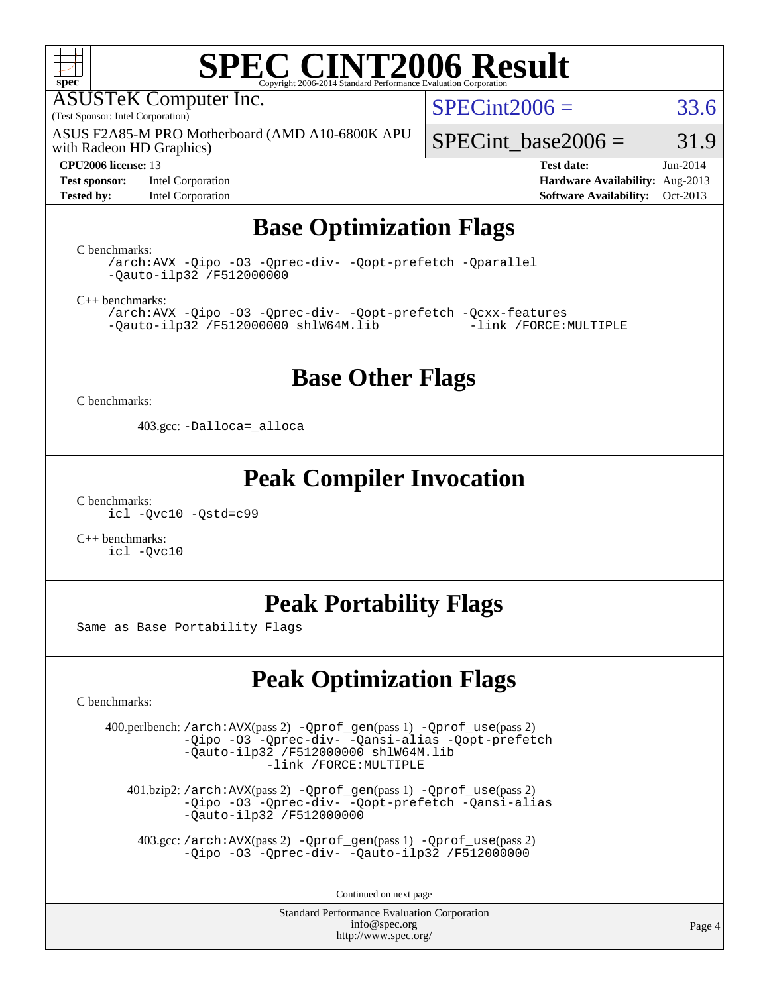

# **[SPEC CINT2006 Result](http://www.spec.org/auto/cpu2006/Docs/result-fields.html#SPECCINT2006Result)**

ASUSTeK Computer Inc.

(Test Sponsor: Intel Corporation)

with Radeon HD Graphics) ASUS F2A85-M PRO Motherboard (AMD A10-6800K APU

#### **[CPU2006 license:](http://www.spec.org/auto/cpu2006/Docs/result-fields.html#CPU2006license)** 13 **[Test date:](http://www.spec.org/auto/cpu2006/Docs/result-fields.html#Testdate)** Jun-2014

**[Test sponsor:](http://www.spec.org/auto/cpu2006/Docs/result-fields.html#Testsponsor)** Intel Corporation **[Hardware Availability:](http://www.spec.org/auto/cpu2006/Docs/result-fields.html#HardwareAvailability)** Aug-2013

 $SPECint2006 = 33.6$  $SPECint2006 = 33.6$ 

SPECint base2006 =  $31.9$ 

**[Tested by:](http://www.spec.org/auto/cpu2006/Docs/result-fields.html#Testedby)** Intel Corporation **[Software Availability:](http://www.spec.org/auto/cpu2006/Docs/result-fields.html#SoftwareAvailability)** Oct-2013

# **[Base Optimization Flags](http://www.spec.org/auto/cpu2006/Docs/result-fields.html#BaseOptimizationFlags)**

[C benchmarks](http://www.spec.org/auto/cpu2006/Docs/result-fields.html#Cbenchmarks):

[/arch:AVX](http://www.spec.org/cpu2006/results/res2014q3/cpu2006-20140715-30467.flags.html#user_CCbase_f-archAVX_e8ab52e15dc7c67e0682fc680b79ed94) [-Qipo](http://www.spec.org/cpu2006/results/res2014q3/cpu2006-20140715-30467.flags.html#user_CCbase_f-Qipo) [-O3](http://www.spec.org/cpu2006/results/res2014q3/cpu2006-20140715-30467.flags.html#user_CCbase_f-O3) [-Qprec-div-](http://www.spec.org/cpu2006/results/res2014q3/cpu2006-20140715-30467.flags.html#user_CCbase_f-Qprec-div-) [-Qopt-prefetch](http://www.spec.org/cpu2006/results/res2014q3/cpu2006-20140715-30467.flags.html#user_CCbase_f-Qprefetch_37c211608666b9dff9380561f602f0a8) [-Qparallel](http://www.spec.org/cpu2006/results/res2014q3/cpu2006-20140715-30467.flags.html#user_CCbase_f-Qparallel) [-Qauto-ilp32](http://www.spec.org/cpu2006/results/res2014q3/cpu2006-20140715-30467.flags.html#user_CCbase_f-Qauto-ilp32) [/F512000000](http://www.spec.org/cpu2006/results/res2014q3/cpu2006-20140715-30467.flags.html#user_CCbase_set_stack_space_98438a10eb60aa5f35f4c79d9b9b27b1)

[C++ benchmarks:](http://www.spec.org/auto/cpu2006/Docs/result-fields.html#CXXbenchmarks)

[/arch:AVX](http://www.spec.org/cpu2006/results/res2014q3/cpu2006-20140715-30467.flags.html#user_CXXbase_f-archAVX_e8ab52e15dc7c67e0682fc680b79ed94) [-Qipo](http://www.spec.org/cpu2006/results/res2014q3/cpu2006-20140715-30467.flags.html#user_CXXbase_f-Qipo) [-O3](http://www.spec.org/cpu2006/results/res2014q3/cpu2006-20140715-30467.flags.html#user_CXXbase_f-O3) [-Qprec-div-](http://www.spec.org/cpu2006/results/res2014q3/cpu2006-20140715-30467.flags.html#user_CXXbase_f-Qprec-div-) [-Qopt-prefetch](http://www.spec.org/cpu2006/results/res2014q3/cpu2006-20140715-30467.flags.html#user_CXXbase_f-Qprefetch_37c211608666b9dff9380561f602f0a8) [-Qcxx-features](http://www.spec.org/cpu2006/results/res2014q3/cpu2006-20140715-30467.flags.html#user_CXXbase_f-Qcxx_features_dbf36c8a6dba956e22f1645e4dcd4d98)  $-Qauto-ilp32$  [/F512000000](http://www.spec.org/cpu2006/results/res2014q3/cpu2006-20140715-30467.flags.html#user_CXXbase_set_stack_space_98438a10eb60aa5f35f4c79d9b9b27b1) [shlW64M.lib](http://www.spec.org/cpu2006/results/res2014q3/cpu2006-20140715-30467.flags.html#user_CXXbase_SmartHeap64_c4f7f76711bdf8c0633a5c1edf6e5396)

# **[Base Other Flags](http://www.spec.org/auto/cpu2006/Docs/result-fields.html#BaseOtherFlags)**

[C benchmarks](http://www.spec.org/auto/cpu2006/Docs/result-fields.html#Cbenchmarks):

403.gcc: [-Dalloca=\\_alloca](http://www.spec.org/cpu2006/results/res2014q3/cpu2006-20140715-30467.flags.html#b403.gcc_baseEXTRA_CFLAGS_Dalloca_be3056838c12de2578596ca5467af7f3)

# **[Peak Compiler Invocation](http://www.spec.org/auto/cpu2006/Docs/result-fields.html#PeakCompilerInvocation)**

[C benchmarks](http://www.spec.org/auto/cpu2006/Docs/result-fields.html#Cbenchmarks): [icl -Qvc10](http://www.spec.org/cpu2006/results/res2014q3/cpu2006-20140715-30467.flags.html#user_CCpeak_intel_icc_vc10_9607f3ecbcdf68042245f068e51b40c1) [-Qstd=c99](http://www.spec.org/cpu2006/results/res2014q3/cpu2006-20140715-30467.flags.html#user_CCpeak_intel_compiler_c99_mode_1a3d110e3041b3ad4466830521bdad2a)

[C++ benchmarks:](http://www.spec.org/auto/cpu2006/Docs/result-fields.html#CXXbenchmarks) [icl -Qvc10](http://www.spec.org/cpu2006/results/res2014q3/cpu2006-20140715-30467.flags.html#user_CXXpeak_intel_icc_vc10_9607f3ecbcdf68042245f068e51b40c1)

# **[Peak Portability Flags](http://www.spec.org/auto/cpu2006/Docs/result-fields.html#PeakPortabilityFlags)**

Same as Base Portability Flags

# **[Peak Optimization Flags](http://www.spec.org/auto/cpu2006/Docs/result-fields.html#PeakOptimizationFlags)**

[C benchmarks](http://www.spec.org/auto/cpu2006/Docs/result-fields.html#Cbenchmarks):

 400.perlbench: [/arch:AVX](http://www.spec.org/cpu2006/results/res2014q3/cpu2006-20140715-30467.flags.html#user_peakPASS2_CFLAGSPASS2_LDFLAGS400_perlbench_f-archAVX_e8ab52e15dc7c67e0682fc680b79ed94)(pass 2) [-Qprof\\_gen](http://www.spec.org/cpu2006/results/res2014q3/cpu2006-20140715-30467.flags.html#user_peakPASS1_CFLAGSPASS1_LDFLAGS400_perlbench_Qprof_gen)(pass 1) [-Qprof\\_use](http://www.spec.org/cpu2006/results/res2014q3/cpu2006-20140715-30467.flags.html#user_peakPASS2_CFLAGSPASS2_LDFLAGS400_perlbench_Qprof_use)(pass 2) [-Qipo](http://www.spec.org/cpu2006/results/res2014q3/cpu2006-20140715-30467.flags.html#user_peakOPTIMIZE400_perlbench_f-Qipo) [-O3](http://www.spec.org/cpu2006/results/res2014q3/cpu2006-20140715-30467.flags.html#user_peakOPTIMIZE400_perlbench_f-O3) [-Qprec-div-](http://www.spec.org/cpu2006/results/res2014q3/cpu2006-20140715-30467.flags.html#user_peakOPTIMIZE400_perlbench_f-Qprec-div-) [-Qansi-alias](http://www.spec.org/cpu2006/results/res2014q3/cpu2006-20140715-30467.flags.html#user_peakOPTIMIZE400_perlbench_f-Qansi-alias) [-Qopt-prefetch](http://www.spec.org/cpu2006/results/res2014q3/cpu2006-20140715-30467.flags.html#user_peakOPTIMIZE400_perlbench_f-Qprefetch_37c211608666b9dff9380561f602f0a8) [-Qauto-ilp32](http://www.spec.org/cpu2006/results/res2014q3/cpu2006-20140715-30467.flags.html#user_peakCOPTIMIZE400_perlbench_f-Qauto-ilp32) [/F512000000](http://www.spec.org/cpu2006/results/res2014q3/cpu2006-20140715-30467.flags.html#user_peakEXTRA_LDFLAGS400_perlbench_set_stack_space_98438a10eb60aa5f35f4c79d9b9b27b1) [shlW64M.lib](http://www.spec.org/cpu2006/results/res2014q3/cpu2006-20140715-30467.flags.html#user_peakEXTRA_LIBS400_perlbench_SmartHeap64_c4f7f76711bdf8c0633a5c1edf6e5396)  [-link /FORCE:MULTIPLE](http://www.spec.org/cpu2006/results/res2014q3/cpu2006-20140715-30467.flags.html#user_peakLDOUT400_perlbench_link_force_multiple2_070fe330869edf77077b841074b8b0b6)

 401.bzip2: [/arch:AVX](http://www.spec.org/cpu2006/results/res2014q3/cpu2006-20140715-30467.flags.html#user_peakPASS2_CFLAGSPASS2_LDFLAGS401_bzip2_f-archAVX_e8ab52e15dc7c67e0682fc680b79ed94)(pass 2) [-Qprof\\_gen](http://www.spec.org/cpu2006/results/res2014q3/cpu2006-20140715-30467.flags.html#user_peakPASS1_CFLAGSPASS1_LDFLAGS401_bzip2_Qprof_gen)(pass 1) [-Qprof\\_use](http://www.spec.org/cpu2006/results/res2014q3/cpu2006-20140715-30467.flags.html#user_peakPASS2_CFLAGSPASS2_LDFLAGS401_bzip2_Qprof_use)(pass 2) [-Qipo](http://www.spec.org/cpu2006/results/res2014q3/cpu2006-20140715-30467.flags.html#user_peakOPTIMIZE401_bzip2_f-Qipo) [-O3](http://www.spec.org/cpu2006/results/res2014q3/cpu2006-20140715-30467.flags.html#user_peakOPTIMIZE401_bzip2_f-O3) [-Qprec-div-](http://www.spec.org/cpu2006/results/res2014q3/cpu2006-20140715-30467.flags.html#user_peakOPTIMIZE401_bzip2_f-Qprec-div-) [-Qopt-prefetch](http://www.spec.org/cpu2006/results/res2014q3/cpu2006-20140715-30467.flags.html#user_peakOPTIMIZE401_bzip2_f-Qprefetch_37c211608666b9dff9380561f602f0a8) [-Qansi-alias](http://www.spec.org/cpu2006/results/res2014q3/cpu2006-20140715-30467.flags.html#user_peakOPTIMIZE401_bzip2_f-Qansi-alias) [-Qauto-ilp32](http://www.spec.org/cpu2006/results/res2014q3/cpu2006-20140715-30467.flags.html#user_peakCOPTIMIZE401_bzip2_f-Qauto-ilp32) [/F512000000](http://www.spec.org/cpu2006/results/res2014q3/cpu2006-20140715-30467.flags.html#user_peakEXTRA_LDFLAGS401_bzip2_set_stack_space_98438a10eb60aa5f35f4c79d9b9b27b1)

 403.gcc: [/arch:AVX](http://www.spec.org/cpu2006/results/res2014q3/cpu2006-20140715-30467.flags.html#user_peakPASS2_CFLAGSPASS2_LDFLAGS403_gcc_f-archAVX_e8ab52e15dc7c67e0682fc680b79ed94)(pass 2) [-Qprof\\_gen](http://www.spec.org/cpu2006/results/res2014q3/cpu2006-20140715-30467.flags.html#user_peakPASS1_CFLAGSPASS1_LDFLAGS403_gcc_Qprof_gen)(pass 1) [-Qprof\\_use](http://www.spec.org/cpu2006/results/res2014q3/cpu2006-20140715-30467.flags.html#user_peakPASS2_CFLAGSPASS2_LDFLAGS403_gcc_Qprof_use)(pass 2) [-Qipo](http://www.spec.org/cpu2006/results/res2014q3/cpu2006-20140715-30467.flags.html#user_peakOPTIMIZE403_gcc_f-Qipo) [-O3](http://www.spec.org/cpu2006/results/res2014q3/cpu2006-20140715-30467.flags.html#user_peakOPTIMIZE403_gcc_f-O3) [-Qprec-div-](http://www.spec.org/cpu2006/results/res2014q3/cpu2006-20140715-30467.flags.html#user_peakOPTIMIZE403_gcc_f-Qprec-div-) [-Qauto-ilp32](http://www.spec.org/cpu2006/results/res2014q3/cpu2006-20140715-30467.flags.html#user_peakCOPTIMIZE403_gcc_f-Qauto-ilp32) [/F512000000](http://www.spec.org/cpu2006/results/res2014q3/cpu2006-20140715-30467.flags.html#user_peakEXTRA_LDFLAGS403_gcc_set_stack_space_98438a10eb60aa5f35f4c79d9b9b27b1)

Continued on next page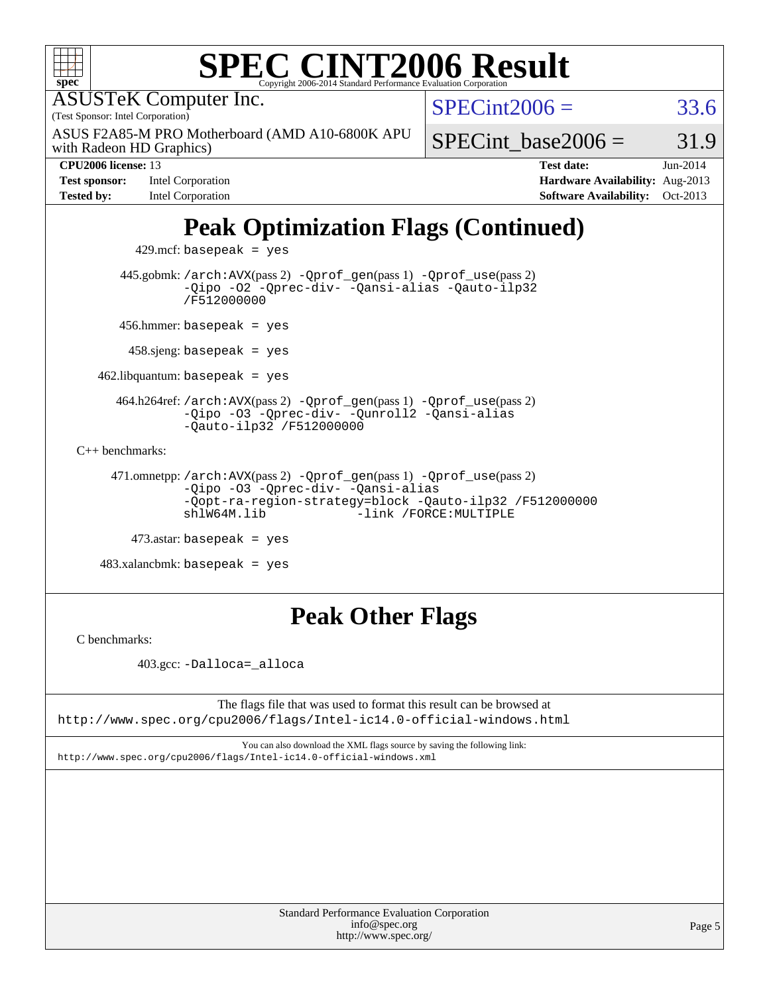| <b>SPEC CINT2006 Result</b><br>spec <sup>°</sup><br>Copyright 2006-2014 Standard Performance Evaluation Corporation                                                                  |                        |                                 |          |
|--------------------------------------------------------------------------------------------------------------------------------------------------------------------------------------|------------------------|---------------------------------|----------|
| <b>ASUSTeK Computer Inc.</b><br>(Test Sponsor: Intel Corporation)                                                                                                                    | $SPECint2006 =$        |                                 | 33.6     |
| ASUS F2A85-M PRO Motherboard (AMD A10-6800K APU<br>with Radeon HD Graphics)                                                                                                          |                        | SPECint base2006 $=$            | 31.9     |
| CPU2006 license: 13                                                                                                                                                                  |                        | <b>Test date:</b>               | Jun-2014 |
| <b>Test sponsor:</b><br>Intel Corporation                                                                                                                                            |                        | Hardware Availability: Aug-2013 |          |
| <b>Tested by:</b><br>Intel Corporation                                                                                                                                               |                        | <b>Software Availability:</b>   | Oct-2013 |
| <b>Peak Optimization Flags (Continued)</b><br>$429$ .mcf: basepeak = yes                                                                                                             |                        |                                 |          |
| 445.gobmk: /arch: AVX(pass 2) - Qprof_gen(pass 1) - Qprof_use(pass 2)<br>-Qipo -02 -Qprec-div- -Qansi-alias -Qauto-ilp32<br>/F512000000                                              |                        |                                 |          |
| 456.hmmer: basepeak = $yes$                                                                                                                                                          |                        |                                 |          |
| $458$ sjeng: basepeak = yes                                                                                                                                                          |                        |                                 |          |
| $462$ .libquantum: basepeak = yes                                                                                                                                                    |                        |                                 |          |
| 464.h264ref: /arch: AVX(pass 2) - Qprof_gen(pass 1) - Qprof_use(pass 2)<br>-Qipo -03 -Qprec-div- -Qunroll2 -Qansi-alias<br>$-$ Qauto-ilp32 /F512000000                               |                        |                                 |          |
| $C++$ benchmarks:                                                                                                                                                                    |                        |                                 |          |
| 471.omnetpp://arch:AVX(pass 2) -Qprof_gen(pass 1) -Qprof_use(pass 2)<br>-Qipo -03 -Qprec-div- -Qansi-alias<br>-Qopt-ra-region-strategy=block -Qauto-ilp32 /F512000000<br>shlW64M.lib | -link /FORCE: MULTIPLE |                                 |          |
| $473$ .astar: basepeak = yes                                                                                                                                                         |                        |                                 |          |
| $483.xalanchmk: basepeak = yes$                                                                                                                                                      |                        |                                 |          |
| <b>Peak Other Flags</b>                                                                                                                                                              |                        |                                 |          |

[C benchmarks](http://www.spec.org/auto/cpu2006/Docs/result-fields.html#Cbenchmarks):

403.gcc: [-Dalloca=\\_alloca](http://www.spec.org/cpu2006/results/res2014q3/cpu2006-20140715-30467.flags.html#b403.gcc_peakEXTRA_CFLAGS_Dalloca_be3056838c12de2578596ca5467af7f3)

The flags file that was used to format this result can be browsed at <http://www.spec.org/cpu2006/flags/Intel-ic14.0-official-windows.html>

You can also download the XML flags source by saving the following link: <http://www.spec.org/cpu2006/flags/Intel-ic14.0-official-windows.xml>